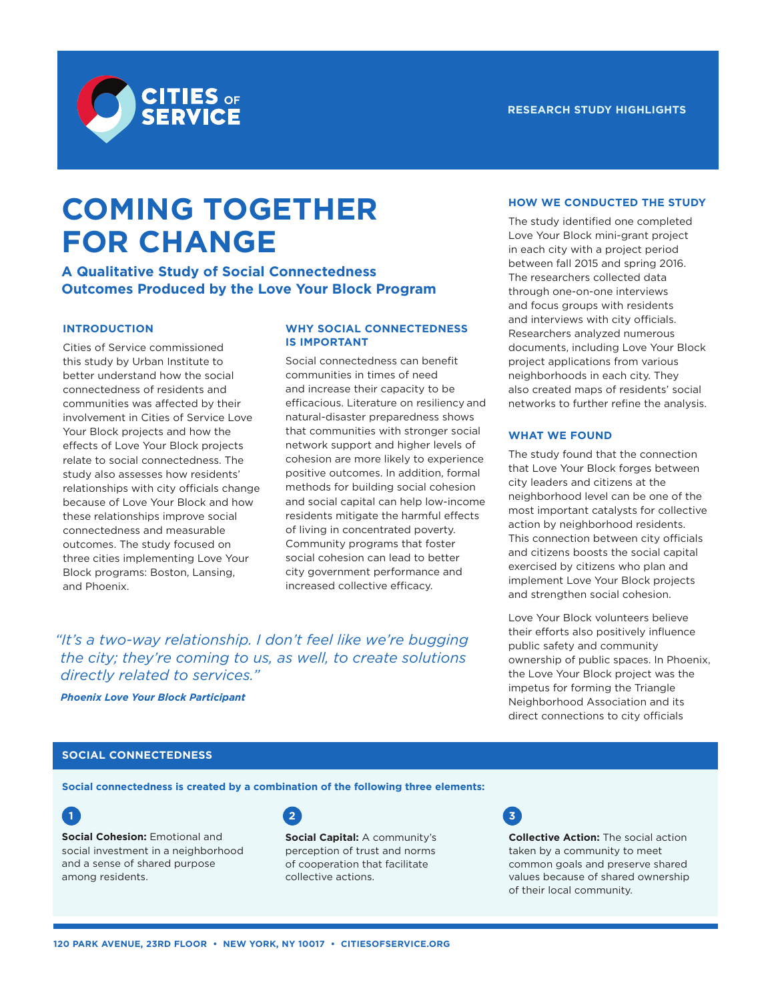



# **COMING TOGETHER FOR CHANGE**

**A Qualitative Study of Social Connectedness Outcomes Produced by the Love Your Block Program**

# **INTRODUCTION**

Cities of Service commissioned this study by Urban Institute to better understand how the social connectedness of residents and communities was affected by their involvement in Cities of Service Love Your Block projects and how the effects of Love Your Block projects relate to social connectedness. The study also assesses how residents' relationships with city officials change because of Love Your Block and how these relationships improve social connectedness and measurable outcomes. The study focused on three cities implementing Love Your Block programs: Boston, Lansing, and Phoenix.

# **WHY SOCIAL CONNECTEDNESS IS IMPORTANT**

Social connectedness can benefit communities in times of need and increase their capacity to be efficacious. Literature on resiliency and natural-disaster preparedness shows that communities with stronger social network support and higher levels of cohesion are more likely to experience positive outcomes. In addition, formal methods for building social cohesion and social capital can help low-income residents mitigate the harmful effects of living in concentrated poverty. Community programs that foster social cohesion can lead to better city government performance and increased collective efficacy.

*"It's a two-way relationship. I don't feel like we're bugging the city; they're coming to us, as well, to create solutions directly related to services."*

*Phoenix Love Your Block Participant*

# **HOW WE CONDUCTED THE STUDY**

The study identified one completed Love Your Block mini-grant project in each city with a project period between fall 2015 and spring 2016. The researchers collected data through one-on-one interviews and focus groups with residents and interviews with city officials. Researchers analyzed numerous documents, including Love Your Block project applications from various neighborhoods in each city. They also created maps of residents' social networks to further refine the analysis.

# **WHAT WE FOUND**

The study found that the connection that Love Your Block forges between city leaders and citizens at the neighborhood level can be one of the most important catalysts for collective action by neighborhood residents. This connection between city officials and citizens boosts the social capital exercised by citizens who plan and implement Love Your Block projects and strengthen social cohesion.

Love Your Block volunteers believe their efforts also positively influence public safety and community ownership of public spaces. In Phoenix, the Love Your Block project was the impetus for forming the Triangle Neighborhood Association and its direct connections to city officials

# **SOCIAL CONNECTEDNESS**

**Social connectedness is created by a combination of the following three elements:**



**Social Cohesion: Emotional and** social investment in a neighborhood and a sense of shared purpose among residents.

**2 3**

**Social Capital:** A community's perception of trust and norms of cooperation that facilitate collective actions.



**Collective Action:** The social action taken by a community to meet common goals and preserve shared values because of shared ownership of their local community.